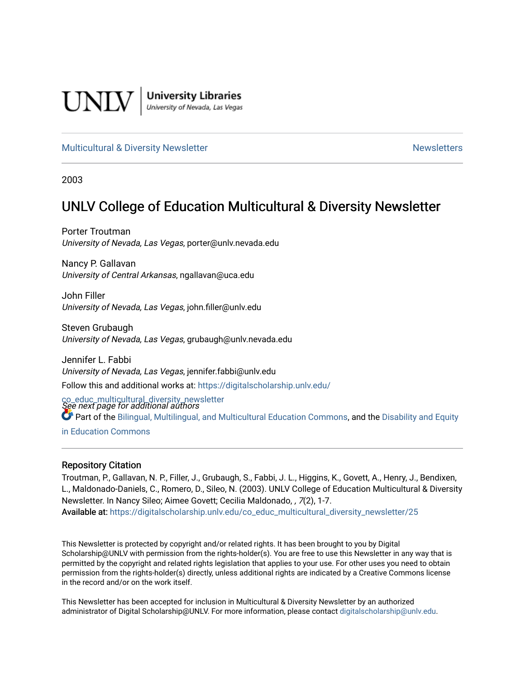

**University Libraries**<br>University of Nevada, Las Vegas

# [Multicultural & Diversity Newsletter](https://digitalscholarship.unlv.edu/co_educ_multicultural_diversity_newsletter) Newsletter [Newsletters](https://digitalscholarship.unlv.edu/co_educ_newsletters) Newsletters

2003

# UNLV College of Education Multicultural & Diversity Newsletter

Porter Troutman University of Nevada, Las Vegas, porter@unlv.nevada.edu

Nancy P. Gallavan University of Central Arkansas, ngallavan@uca.edu

John Filler University of Nevada, Las Vegas, john.filler@unlv.edu

Steven Grubaugh University of Nevada, Las Vegas, grubaugh@unlv.nevada.edu

Jennifer L. Fabbi University of Nevada, Las Vegas, jennifer.fabbi@unlv.edu Follow this and additional works at: [https://digitalscholarship.unlv.edu/](https://digitalscholarship.unlv.edu/co_educ_multicultural_diversity_newsletter?utm_source=digitalscholarship.unlv.edu%2Fco_educ_multicultural_diversity_newsletter%2F25&utm_medium=PDF&utm_campaign=PDFCoverPages)

co\_educ\_multicultural\_diversity\_newsletter<br>See next page for additional authors Part of the [Bilingual, Multilingual, and Multicultural Education Commons,](http://network.bepress.com/hgg/discipline/785?utm_source=digitalscholarship.unlv.edu%2Fco_educ_multicultural_diversity_newsletter%2F25&utm_medium=PDF&utm_campaign=PDFCoverPages) and the [Disability and Equity](http://network.bepress.com/hgg/discipline/1040?utm_source=digitalscholarship.unlv.edu%2Fco_educ_multicultural_diversity_newsletter%2F25&utm_medium=PDF&utm_campaign=PDFCoverPages)  [in Education Commons](http://network.bepress.com/hgg/discipline/1040?utm_source=digitalscholarship.unlv.edu%2Fco_educ_multicultural_diversity_newsletter%2F25&utm_medium=PDF&utm_campaign=PDFCoverPages)

#### Repository Citation

Troutman, P., Gallavan, N. P., Filler, J., Grubaugh, S., Fabbi, J. L., Higgins, K., Govett, A., Henry, J., Bendixen, L., Maldonado-Daniels, C., Romero, D., Sileo, N. (2003). UNLV College of Education Multicultural & Diversity Newsletter. In Nancy Sileo; Aimee Govett; Cecilia Maldonado, , 7(2), 1-7. Available at: [https://digitalscholarship.unlv.edu/co\\_educ\\_multicultural\\_diversity\\_newsletter/25](https://digitalscholarship.unlv.edu/co_educ_multicultural_diversity_newsletter/25) 

This Newsletter is protected by copyright and/or related rights. It has been brought to you by Digital Scholarship@UNLV with permission from the rights-holder(s). You are free to use this Newsletter in any way that is permitted by the copyright and related rights legislation that applies to your use. For other uses you need to obtain permission from the rights-holder(s) directly, unless additional rights are indicated by a Creative Commons license in the record and/or on the work itself.

This Newsletter has been accepted for inclusion in Multicultural & Diversity Newsletter by an authorized administrator of Digital Scholarship@UNLV. For more information, please contact [digitalscholarship@unlv.edu.](mailto:digitalscholarship@unlv.edu)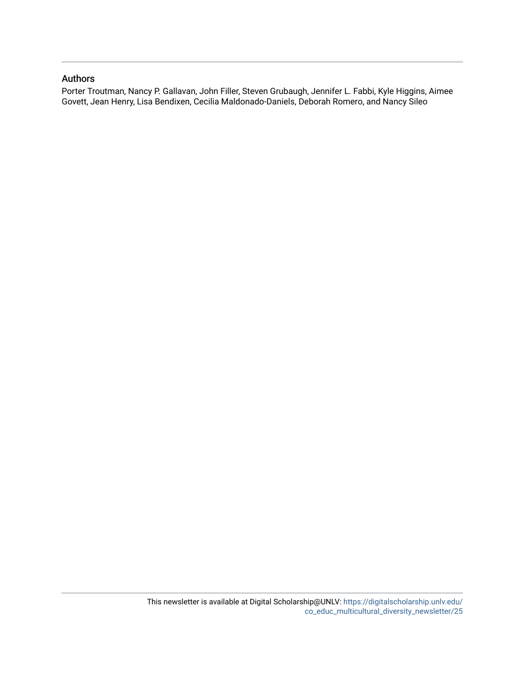# Authors

Porter Troutman, Nancy P. Gallavan, John Filler, Steven Grubaugh, Jennifer L. Fabbi, Kyle Higgins, Aimee Govett, Jean Henry, Lisa Bendixen, Cecilia Maldonado-Daniels, Deborah Romero, and Nancy Sileo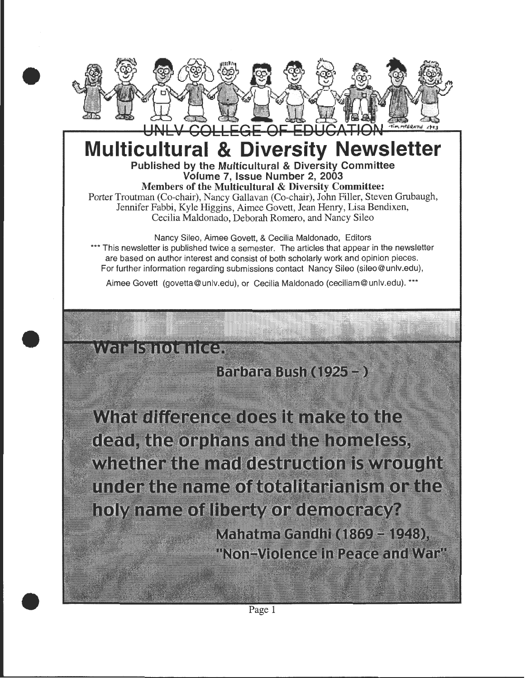

# **Multicultural & Diversity Newsletter**  Published by the Multicultural & Diversity Committee Volume 7, Issue Number 2, 2003

Members of the Multicultural & Diversity Committee:

Porter Troutman (Co-chair), Nancy Gallavan (Co-chair), John Filler, Steven Grubaugh, Jennifer Fabbi, Kyle Higgins, Aimee Govett, Jean Henry, Lisa Bendixen, Cecilia Maldonado, Deborah Romero, and Nancy Sileo

Nancy Sileo, Aimee Govett, & Cecilia Maldonado, Editors \*\*\* This newsletter is published twice a semester. The articles that appear in the newsletter are based on author interest and consist of both scholarly work and opinion pieces. For further information regarding submissions contact Nancy Sileo (sileo@unlv.edu),

Aimee Govett (govetta@unlv.edu), or Cecilia Maldonado (ceciliam@unlv.edu). \*\*\*

•

•



Page 1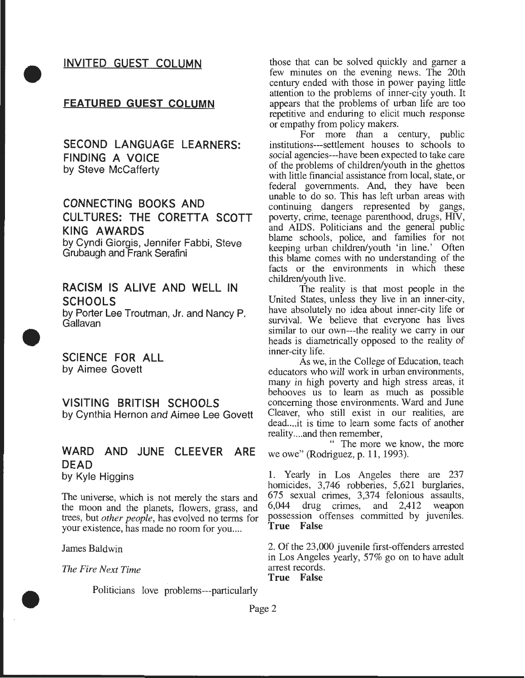# INVITED GUEST COLUMN

•

•

# FEATURED GUEST COLUMN

SECOND LANGUAGE LEARNERS: FINDING A VOICE by Steve McCafferty

CONNECTING BOOKS AND CULTURES: THE CORETTA SCOTT KING AWARDS by Cyndi Giorgis, Jennifer Fabbi, Steve Grubaugh and Frank Serafini

RACISM IS ALIVE AND WELL IN **SCHOOLS** by Porter Lee Troutman, Jr. and Nancy P. Gallavan

SCIENCE FOR ALL by Aimee Govett

VISITING BRITISH SCHOOLS by Cynthia Hernon and Aimee Lee Govett

# WARD AND JUNE CLEEVER ARE DEAD

by Kyle Higgins

The universe, which is not merely the stars and the moon and the planets, flowers, grass, and trees, but *other people,* has evolved no terms for your existence, has made no room for you....

James Baldwin

*The Fire Next Time* 

Politicians love problems---particularly

those that can be solved quickly and garner a few minutes on the evening news. The 20th century ended with those in power paying little attention to the problems of inner-city youth. It appears that the problems of urban life are too repetitive and enduring to elicit much response or empathy from policy makers.

For more than a century, public institutions---settlement houses to schools to social agencies---have been expected to take care of the problems of children/youth in the ghettos with little financial assistance from local, state, or federal governments. And, they have been unable to do so. This has left urban areas with continuing dangers represented by gangs, poverty, crime, teenage parenthood, drugs, HIV, and AIDS. Politicians and the general public blame schools, police, and families for not keeping urban children/youth 'in line.' Often this blame comes with no understanding of the facts or the environments in which these children/youth live.

The reality is that most people in the United States, unless they live in an inner-city, have absolutely no idea about inner-city life or survival. We believe that everyone has lives similar to our own---the reality we carry in our heads is diametrically opposed to the reality of inner-city life.

As we, in the College of Education, teach educators who will work in urban environments, many in high poverty and high stress areas, it behooves us to learn as much as possible concerning those environments. Ward and June Cleaver, who still exist in our realities, are dead....it is time to learn some facts of another reality .... and then remember,

" The more we know, the more we owe" (Rodriguez, p. 11, 1993).

1. Yearly in Los Angeles there are 237 homicides, 3,746 robberies, 5,621 burglaries, 675 sexual crimes, 3,374 felonious assaults, 6,044 drug crimes, and 2,412 weapon possession offenses committed by juveniles. True False

2. Of the 23,000 juvenile first-offenders arrested in Los Angeles yearly, 57% go on to have adult arrest records. True False

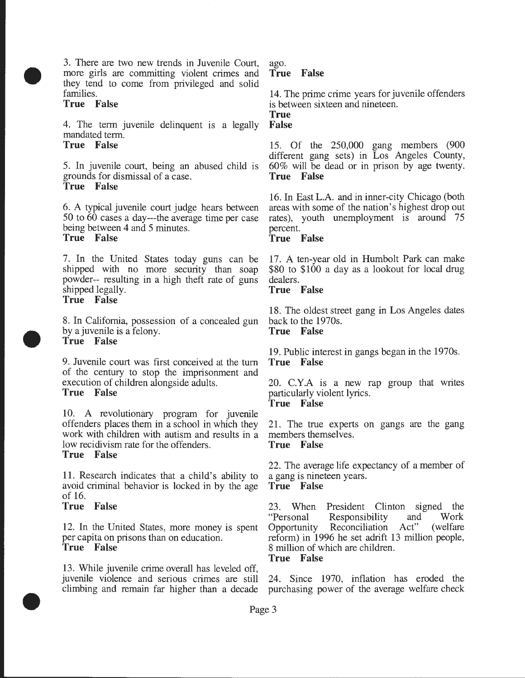3. There are two new trends in Juvenile Court, more girls are committing violent crimes and they tend to come from privileged and solid families.

# **True False**

•

•

•

4. The term juvenile delinquent is a legally mandated term.

**True False** 

5. In juvenile court, being an abused child is grounds for dismissal of a case. **True False** 

6. A typical juvenile court judge hears between 50 to 60 cases a day---the average time per case being between 4 and 5 minutes. **True False** 

7. In the United States today guns can be shipped with no more security than soap powder-- resulting in a high theft rate of guns shipped legally. **True False** 

8. In California, possession of a concealed gun back to the 1970s.<br>by a juvenile is a felony. True False by a juvenile is a felony. **True False** 

9. Juvenile court was first conceived at the tum of the century to stop the imprisonment and execution of children alongside adults. **True False** 

10. A revolutionary program for juvenile offenders places them in a school in which they work with children with autism and results in a low recidivism rate for the offenders. **True False** 

11. Research indicates that a child's ability to avoid criminal behavior is locked in by the age of 16.

**True False** 

12. In the United States, more money is spent per capita on prisons than on education. **True False** 

13. While juvenile crime overall has leveled off, juvenile violence and serious crimes are still 24. Since 1970, inflation has eroded the climbing and remain far higher than a decade purchasing power of the average welfare check

ago.

**True False** 

14. The prime crime years for juvenile offenders is between sixteen and nineteen.

**True False** 

15. Of the 250,000 gang members (900 different gang sets) in Los Angeles County, 60% will be dead or in prison by age twenty. **True False** 

16. In East L.A. and in inner-city Chicago (both areas with some of the nation's highest drop out rates), youth unemployment is around 75 percent.

**True False** 

17. A ten-year old in Humbolt Park can make \$80 to \$100 a day as a lookout for local drug dealers.

# **True False**

18. The oldest street gang in Los Angeles dates

19. Public interest in gangs began in the 1970s. **True False** 

20. C.Y.A is a new rap group that writes particularly violent lyrics. **True False** 

21. The true experts on gangs are the gang members themselves.

# **True False**

22. The average life expectancy of a member of a gang is nineteen years.

## **True False**

23. When President Clinton signed the "Personal Responsibility and Work Opportunity Reconciliation Act" (welfare reform) in 1996 he set adrift 13 million people, 8 million of which are children.

# **True False**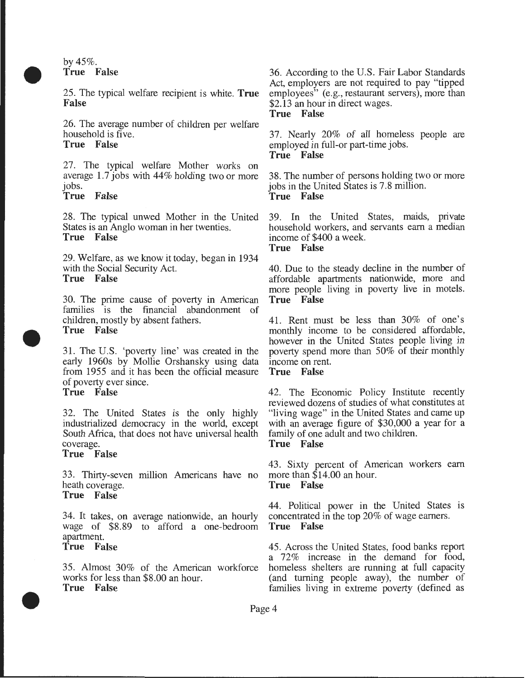by  $45\%$ .

•

•

•

**True False** 

25. The typical welfare recipient is white. **True False** 

26. The average number of children per welfare household is five.

**True False** 

27. The typical welfare Mother works on average 1.7 jobs with 44% holding two or more jobs.

**True False** 

28. The typical unwed Mother in the United States is an Anglo woman in her twenties. **True False** 

29. Welfare, as we know it today, began in 1934 with the Social Security Act. **True False** 

30. The prime cause of poverty in American families is the financial abandonment of children, mostly by absent fathers. **True False** 

31. The U.S. 'poverty line' was created in the early 1960s by Mollie Orshansky using data from 1955 and it has been the official measure of poverty ever since.

**True False** 

32. The United States 1s the only highly industrialized democracy in the world, except South Africa, that does not have universal health coverage.

## **True False**

33. Thirty-seven million Americans have no more than  $$14$ -<br>heath coverage. True. False heath coverage. **True False** 

34. It takes, on average nationwide, an hourly concentrated in the top 20% of wage earners. wage of \$8.89 to afford a one-bedroom **True False**  apartment. **True False** 

35. Almost 30% of the American workforce works for less than \$8.00 an hour. **True False** 

36. According to the U.S. Fair Labor Standards Act, employers are not required to pay "tipped employees" (e.g., restaurant servers), more than \$2.13 an hour in direct wages. **True False** 

37. Nearly 20% of all homeless people are employed in full-or part-time jobs. **True False** 

38. The number of persons holding two or more jobs in the United States is 7.8 million. **True False** 

39. In the United States, maids, private household workers, and servants earn a median income of \$400 a week.

# **True False**

40. Due to the steady decline in the number of affordable apartments nationwide, more and more people living in poverty live in motels. **True False** 

41. Rent must be less than 30% of one's monthly income to be considered affordable, however in the United States people living in poverty spend more than 50% of their monthly income on rent.

## **True False**

42. The Economic Policy Institute recently reviewed dozens of studies of what constitutes at "living wage" in the United States and came up with an average figure of \$30,000 a year for a family of one adult and two children.

## **True False**

43. Sixty percent of American workers earn more than \$14.00 an hour.

44. Political power in the United States 1s

45. Across the United States, food banks report a 72% increase in the demand for food, homeless shelters are running at full capacity (and turning people away), the number of families living in extreme poverty (defined as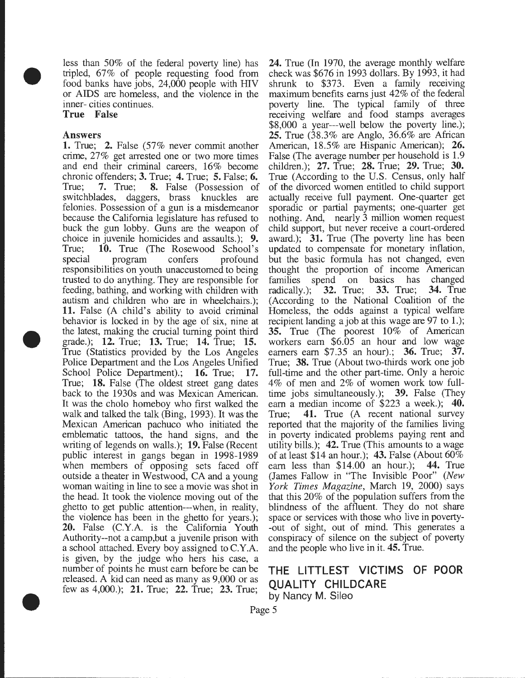less than 50% of the federal poverty line) has tripled, 67% of people requesting food from food banks have jobs, 24,000 people with HIV or AIDS are homeless, and the violence in the inner- cities continues. True False

#### Answers

•

•

•

1. True; 2. False (57% never commit another crime, 27% get arrested one or two more times and end their criminal careers, 16% become chronic offenders; 3. True; 4. True; 5. False; 6. True; 7. True; 8. False (Possession of switchblades, daggers, brass knuckles are felonies. Possession of a gun is a misdemeanor because the California legislature has refused to buck the gun lobby. Guns are the weapon of choice in juvenile homicides and assaults.); 9. True; 10. True (The Rosewood School's special program confers profound responsibilities on youth unaccustomed to being trusted to do anything. They are responsible for feeding, bathing, and working with children with autism and children who are in wheelchairs.); 11. False (A child's ability to avoid criminal behavior is locked in by the age of six, nine at the latest, making the crucial turning point third grade.); 12. True; 13. True; 14. True; 15. True (Statistics provided by the Los Angeles Police Department and the Los Angeles Unified School Police Department).; **16.** True; **17.** True; 18. False (The oldest street gang dates back to the 1930s and was Mexican American. It was the cholo homeboy who first walked the walk and talked the talk (Bing, 1993). It was the Mexican American pachuco who initiated the emblematic tattoos, the hand signs, and the writing of legends on walls.); 19. False (Recent public interest in gangs began in 1998-1989 when members of opposing sets faced off outside a theater in Westwood, CA and a young woman waiting in line to see a movie was shot in the head. It took the violence moving out of the ghetto to get public attention---when, in reality, the violence has been in the ghetto for years.); 20. False (C.Y.A. is the California Youth Authority--not a camp,but a juvenile prison with a school attached. Every boy assigned to C.Y.A. is given, by the judge who hers his case, a number of points he must earn before be can be released. A kid can need as many as 9,000 or as few as 4,000.); 21. True; 22. True; 23. True;

24. True (In 1970, the average monthly welfare check was \$676 in 1993 dollars. By 1993, it had shrunk to \$373. Even a family receiving maximum benefits earns just 42% of the federal poverty line. The typical family of three receiving welfare and food stamps averages \$8,000 a year---well below the poverty line.); 25. True (38.3% are Anglo, 36.6% are African American, 18.5% are Hispanic American); 26. False (The average number per household is 1.9 children.); 27. True; 28. True; 29. True; 30. True (According to the U.S. Census, only half of the divorced women entitled to child support actually receive full payment. One-quarter get sporadic or partial payments; one-quarter get nothing. And, nearly 3 million women request child support, but never receive a court-ordered award.); 31. True (The poverty line has been updated to compensate for monetary inflation, but the basic formula has not changed, even thought the proportion of income American families spend on basics has changed radically.); 32. True; 33. True; 34. True (According to the National Coalition of the Homeless, the odds against a typical welfare recipient landing a job at this wage are 97 to 1.); 35. True (The poorest 10% of American workers earn \$6.05 an hour and low wage earners earn \$7.35 an hour).; **36.** True; **37.** True; 38. True (About two-thirds work one job full-time and the other part-time. Only a heroic 4% of men and 2% of women work tow fulltime jobs simultaneously.); 39. False (They earn a median income of \$223 a week.); 40. True; 41. True (A recent national survey reported that the majority of the families living in poverty indicated problems paying rent and utility bills.); 42. True (This amounts to a wage of at least \$14 an hour.); 43. False (About  $60\%$ ) earn less than \$14.00 an hour.); 44. True (James Fallow in "The Invisible Poor" *(New York Times Magazine,* March 19, 2000) says that this 20% of the population suffers from the blindness of the affluent. They do not share space or services with those who live in poverty- -out of sight, out of mind. This generates a conspiracy of silence on the subject of poverty and the people who live in it. 45. True.

# THE LITTLEST VICTIMS OF POOR QUALITY CHILDCARE by Nancy M. Sileo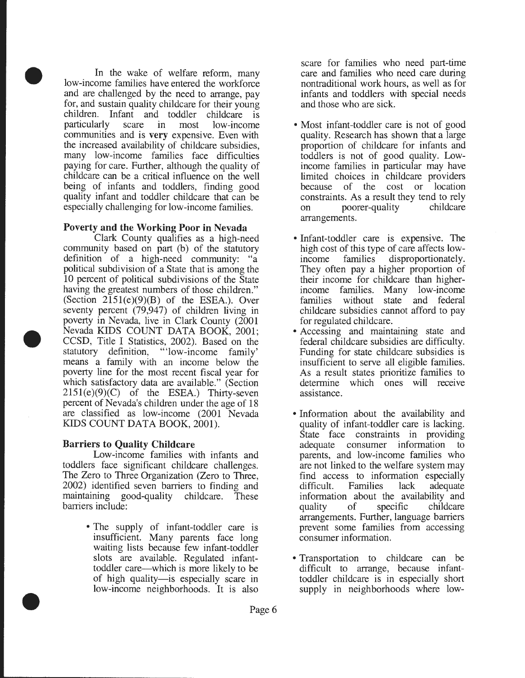In the wake of welfare reform, many low-income families have entered the workforce and are challenged by the need to arrange, pay for, and sustain quality childcare for their young children. Infant and toddler childcare is particularly scare in most low-income communities and is very expensive. Even with the increased availability of childcare subsidies, many low-income families face difficulties paying for care. Further, although the quality of childcare can be a critical influence on the well being of infants and toddlers, finding good quality infant and toddler childcare that can be especially challenging for low-income families.

•

•

•

## Poverty and the Working Poor in Nevada

Clark County qualifies as a high-need community based on part (b) of the statutory definition of a high-need community: "a political subdivision of a State that is among the 10 percent of political subdivisions of the State having the greatest numbers of those children." (Section  $2151(e)(9)(B)$  of the ESEA.). Over seventy percent (79,947) of children living in poverty in Nevada, live in Clark County (2001 Nevada KIDS COUNT DATA BOOK, 2001; CCSD, Title I Statistics, 2002). Based on the statutory definition, "'low-income family' means a family with an income below the poverty line for the most recent fiscal year for which satisfactory data are available." (Section  $2151(e)(9)(C)$  of the ESEA.) Thirty-seven percent of Nevada's children under the age of 18 are classified as low-income (2001 Nevada KIDS COUNT DATA BOOK, 2001).

## Barriers to Quality Childcare

Low-income families with infants and toddlers face significant childcare challenges. The Zero to Three Organization (Zero to Three, 2002) identified seven barriers to finding and maintaining good-quality childcare. These barriers include:

> • The supply of infant-toddler care is insufficient. Many parents face long waiting lists because few infant-toddler slots are available. Regulated infanttoddler care-which is more likely to be of high quality-is especially scare in low-income neighborhoods. It is also

scare for families who need part-time care and families who need care during nontraditional work hours, as well as for infants and toddlers with special needs and those who are sick.

- Most infant-toddler care is not of good quality. Research has shown that a large proportion of childcare for infants and toddlers is not of good quality. Lowincome families in particular may have limited choices in childcare providers because of the cost or location constraints. As a result they tend to rely on poorer-quality childcare arrangements.
- Infant-toddler care is expensive. The high cost of this type of care affects lowincome families disproportionately. They often pay a higher proportion of their income for childcare than higherincome families. Many low-income families without state and federal childcare subsidies cannot afford to pay for regulated childcare.
- Accessing and maintaining state and federal childcare subsidies are difficulty. Funding for state childcare subsidies is insufficient to serve all eligible families. As a result states prioritize families to determine which ones will receive assistance.
- Information about the availability and quality of infant -toddler care is lacking. State face constraints in providing adequate consumer information to parents, and low-income families who are not linked to the welfare system may find access to information especially difficult. Families lack adequate information about the availability and quality of specific childcare arrangements. Further, language barriers prevent some families from accessing consumer information.
- Transportation to childcare can be difficult to arrange, because infanttoddler childcare is in especially short supply in neighborhoods where low-